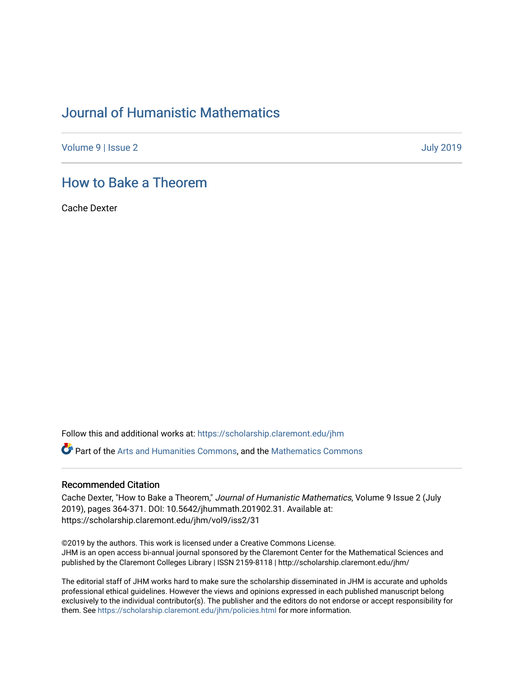# [Journal of Humanistic Mathematics](https://scholarship.claremont.edu/jhm)

[Volume 9](https://scholarship.claremont.edu/jhm/vol9) | [Issue 2](https://scholarship.claremont.edu/jhm/vol9/iss2) [July 2019](https://scholarship.claremont.edu/jhm/vol9/iss2) 

### [How to Bake a Theorem](https://scholarship.claremont.edu/jhm/vol9/iss2/31)

Cache Dexter

Follow this and additional works at: [https://scholarship.claremont.edu/jhm](https://scholarship.claremont.edu/jhm?utm_source=scholarship.claremont.edu%2Fjhm%2Fvol9%2Fiss2%2F31&utm_medium=PDF&utm_campaign=PDFCoverPages)

Part of the [Arts and Humanities Commons,](http://network.bepress.com/hgg/discipline/438?utm_source=scholarship.claremont.edu%2Fjhm%2Fvol9%2Fiss2%2F31&utm_medium=PDF&utm_campaign=PDFCoverPages) and the [Mathematics Commons](http://network.bepress.com/hgg/discipline/174?utm_source=scholarship.claremont.edu%2Fjhm%2Fvol9%2Fiss2%2F31&utm_medium=PDF&utm_campaign=PDFCoverPages) 

#### Recommended Citation

Cache Dexter, "How to Bake a Theorem," Journal of Humanistic Mathematics, Volume 9 Issue 2 (July 2019), pages 364-371. DOI: 10.5642/jhummath.201902.31. Available at: https://scholarship.claremont.edu/jhm/vol9/iss2/31

©2019 by the authors. This work is licensed under a Creative Commons License. JHM is an open access bi-annual journal sponsored by the Claremont Center for the Mathematical Sciences and published by the Claremont Colleges Library | ISSN 2159-8118 | http://scholarship.claremont.edu/jhm/

The editorial staff of JHM works hard to make sure the scholarship disseminated in JHM is accurate and upholds professional ethical guidelines. However the views and opinions expressed in each published manuscript belong exclusively to the individual contributor(s). The publisher and the editors do not endorse or accept responsibility for them. See<https://scholarship.claremont.edu/jhm/policies.html> for more information.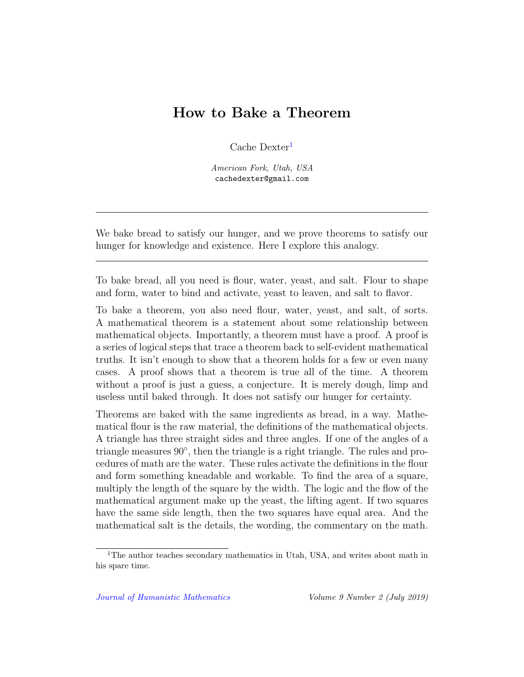## How to Bake a Theorem

Cache Dexter<sup>[1](#page-1-0)</sup>

American Fork, Utah, USA cachedexter@gmail.com

We bake bread to satisfy our hunger, and we prove theorems to satisfy our hunger for knowledge and existence. Here I explore this analogy.

To bake bread, all you need is flour, water, yeast, and salt. Flour to shape and form, water to bind and activate, yeast to leaven, and salt to flavor.

To bake a theorem, you also need flour, water, yeast, and salt, of sorts. A mathematical theorem is a statement about some relationship between mathematical objects. Importantly, a theorem must have a proof. A proof is a series of logical steps that trace a theorem back to self-evident mathematical truths. It isn't enough to show that a theorem holds for a few or even many cases. A proof shows that a theorem is true all of the time. A theorem without a proof is just a guess, a conjecture. It is merely dough, limp and useless until baked through. It does not satisfy our hunger for certainty.

Theorems are baked with the same ingredients as bread, in a way. Mathematical flour is the raw material, the definitions of the mathematical objects. A triangle has three straight sides and three angles. If one of the angles of a triangle measures 90°, then the triangle is a right triangle. The rules and procedures of math are the water. These rules activate the definitions in the flour and form something kneadable and workable. To find the area of a square, multiply the length of the square by the width. The logic and the flow of the mathematical argument make up the yeast, the lifting agent. If two squares have the same side length, then the two squares have equal area. And the mathematical salt is the details, the wording, the commentary on the math.

<span id="page-1-0"></span><sup>&</sup>lt;sup>1</sup>The author teaches secondary mathematics in Utah, USA, and writes about math in his spare time.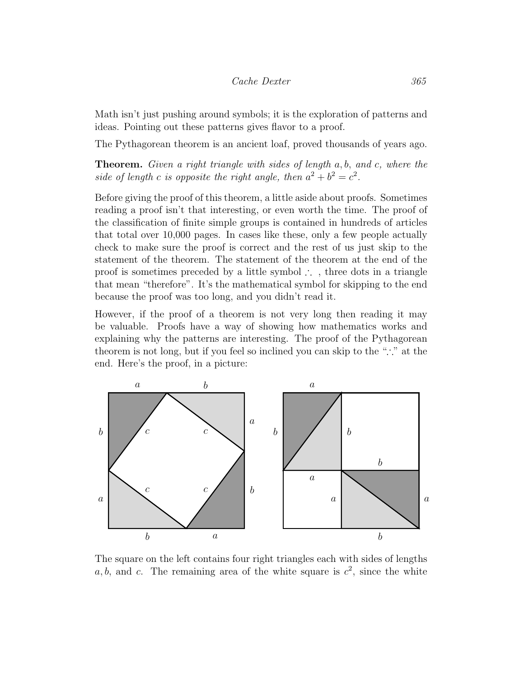#### Cache Dexter 365

Math isn't just pushing around symbols; it is the exploration of patterns and ideas. Pointing out these patterns gives flavor to a proof.

The Pythagorean theorem is an ancient loaf, proved thousands of years ago.

Theorem. Given a right triangle with sides of length a, b, and c, where the side of length c is opposite the right angle, then  $a^2 + b^2 = c^2$ .

Before giving the proof of this theorem, a little aside about proofs. Sometimes reading a proof isn't that interesting, or even worth the time. The proof of the classification of finite simple groups is contained in hundreds of articles that total over 10,000 pages. In cases like these, only a few people actually check to make sure the proof is correct and the rest of us just skip to the statement of the theorem. The statement of the theorem at the end of the proof is sometimes preceded by a little symbol ∴ , three dots in a triangle that mean "therefore". It's the mathematical symbol for skipping to the end because the proof was too long, and you didn't read it.

However, if the proof of a theorem is not very long then reading it may be valuable. Proofs have a way of showing how mathematics works and explaining why the patterns are interesting. The proof of the Pythagorean theorem is not long, but if you feel so inclined you can skip to the "∴" at the end. Here's the proof, in a picture:



The square on the left contains four right triangles each with sides of lengths a, b, and c. The remaining area of the white square is  $c^2$ , since the white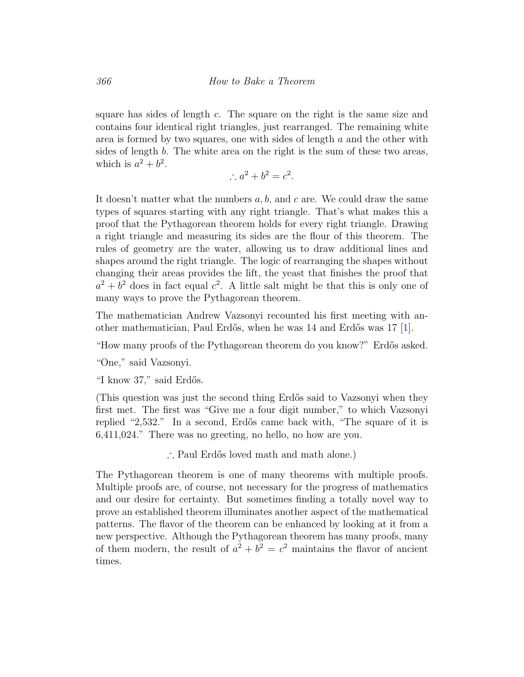square has sides of length c. The square on the right is the same size and contains four identical right triangles, just rearranged. The remaining white area is formed by two squares, one with sides of length  $a$  and the other with sides of length b. The white area on the right is the sum of these two areas, which is  $a^2 + b^2$ .

$$
\therefore a^2 + b^2 = c^2.
$$

It doesn't matter what the numbers  $a, b$ , and c are. We could draw the same types of squares starting with any right triangle. That's what makes this a proof that the Pythagorean theorem holds for every right triangle. Drawing a right triangle and measuring its sides are the flour of this theorem. The rules of geometry are the water, allowing us to draw additional lines and shapes around the right triangle. The logic of rearranging the shapes without changing their areas provides the lift, the yeast that finishes the proof that  $a^2 + b^2$  does in fact equal  $c^2$ . A little salt might be that this is only one of many ways to prove the Pythagorean theorem.

The mathematician Andrew Vazsonyi recounted his first meeting with an-other mathematician, Paul Erdős, when he was 14 and Erdős was 17 [\[1\]](#page-8-0).

"How many proofs of the Pythagorean theorem do you know?" Erdős asked.

"One," said Vazsonyi.

"I know 37," said Erdős.

(This question was just the second thing Erdős said to Vazsonyi when they first met. The first was "Give me a four digit number," to which Vazsonyi replied "2,532." In a second, Erdős came back with, "The square of it is 6,411,024." There was no greeting, no hello, no how are you.

∴ Paul Erdős loved math and math alone.)

The Pythagorean theorem is one of many theorems with multiple proofs. Multiple proofs are, of course, not necessary for the progress of mathematics and our desire for certainty. But sometimes finding a totally novel way to prove an established theorem illuminates another aspect of the mathematical patterns. The flavor of the theorem can be enhanced by looking at it from a new perspective. Although the Pythagorean theorem has many proofs, many of them modern, the result of  $a^2 + b^2 = c^2$  maintains the flavor of ancient times.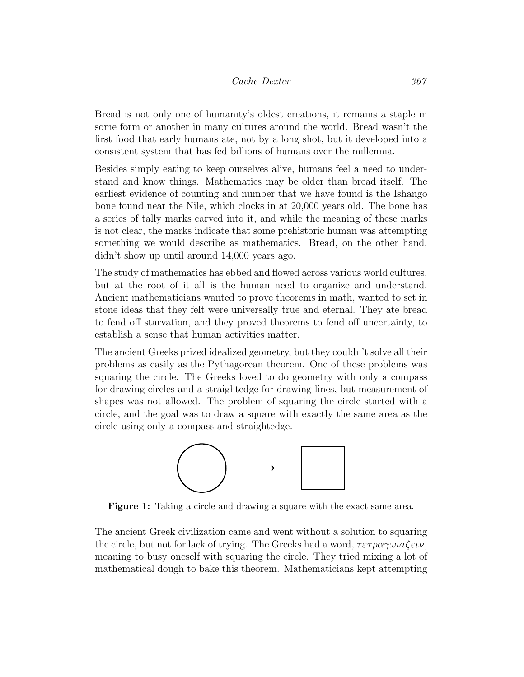Bread is not only one of humanity's oldest creations, it remains a staple in some form or another in many cultures around the world. Bread wasn't the first food that early humans ate, not by a long shot, but it developed into a consistent system that has fed billions of humans over the millennia.

Besides simply eating to keep ourselves alive, humans feel a need to understand and know things. Mathematics may be older than bread itself. The earliest evidence of counting and number that we have found is the Ishango bone found near the Nile, which clocks in at 20,000 years old. The bone has a series of tally marks carved into it, and while the meaning of these marks is not clear, the marks indicate that some prehistoric human was attempting something we would describe as mathematics. Bread, on the other hand, didn't show up until around 14,000 years ago.

The study of mathematics has ebbed and flowed across various world cultures, but at the root of it all is the human need to organize and understand. Ancient mathematicians wanted to prove theorems in math, wanted to set in stone ideas that they felt were universally true and eternal. They ate bread to fend off starvation, and they proved theorems to fend off uncertainty, to establish a sense that human activities matter.

The ancient Greeks prized idealized geometry, but they couldn't solve all their problems as easily as the Pythagorean theorem. One of these problems was squaring the circle. The Greeks loved to do geometry with only a compass for drawing circles and a straightedge for drawing lines, but measurement of shapes was not allowed. The problem of squaring the circle started with a circle, and the goal was to draw a square with exactly the same area as the circle using only a compass and straightedge.



Figure 1: Taking a circle and drawing a square with the exact same area.

The ancient Greek civilization came and went without a solution to squaring the circle, but not for lack of trying. The Greeks had a word,  $\tau \varepsilon \tau \rho \alpha \gamma \omega \nu \iota \zeta \varepsilon \nu$ , meaning to busy oneself with squaring the circle. They tried mixing a lot of mathematical dough to bake this theorem. Mathematicians kept attempting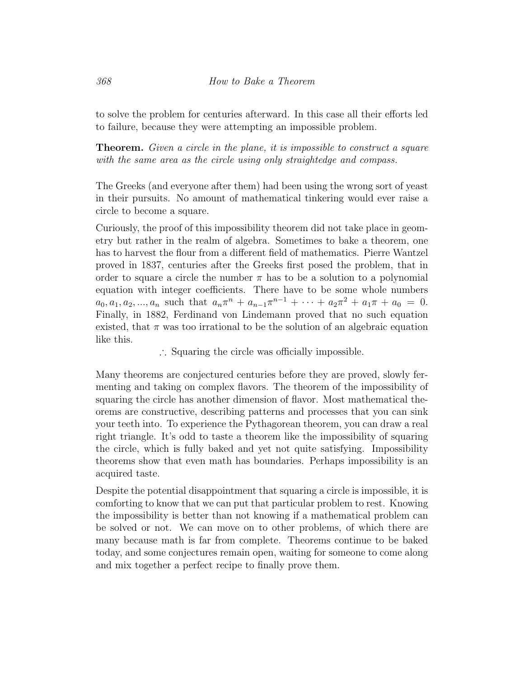to solve the problem for centuries afterward. In this case all their efforts led to failure, because they were attempting an impossible problem.

**Theorem.** Given a circle in the plane, it is impossible to construct a square with the same area as the circle using only straightedge and compass.

The Greeks (and everyone after them) had been using the wrong sort of yeast in their pursuits. No amount of mathematical tinkering would ever raise a circle to become a square.

Curiously, the proof of this impossibility theorem did not take place in geometry but rather in the realm of algebra. Sometimes to bake a theorem, one has to harvest the flour from a different field of mathematics. Pierre Wantzel proved in 1837, centuries after the Greeks first posed the problem, that in order to square a circle the number  $\pi$  has to be a solution to a polynomial equation with integer coefficients. There have to be some whole numbers  $a_0, a_1, a_2, ..., a_n$  such that  $a_n \pi^n + a_{n-1} \pi^{n-1} + \cdots + a_2 \pi^2 + a_1 \pi + a_0 = 0.$ Finally, in 1882, Ferdinand von Lindemann proved that no such equation existed, that  $\pi$  was too irrational to be the solution of an algebraic equation like this.

∴ Squaring the circle was officially impossible.

Many theorems are conjectured centuries before they are proved, slowly fermenting and taking on complex flavors. The theorem of the impossibility of squaring the circle has another dimension of flavor. Most mathematical theorems are constructive, describing patterns and processes that you can sink your teeth into. To experience the Pythagorean theorem, you can draw a real right triangle. It's odd to taste a theorem like the impossibility of squaring the circle, which is fully baked and yet not quite satisfying. Impossibility theorems show that even math has boundaries. Perhaps impossibility is an acquired taste.

Despite the potential disappointment that squaring a circle is impossible, it is comforting to know that we can put that particular problem to rest. Knowing the impossibility is better than not knowing if a mathematical problem can be solved or not. We can move on to other problems, of which there are many because math is far from complete. Theorems continue to be baked today, and some conjectures remain open, waiting for someone to come along and mix together a perfect recipe to finally prove them.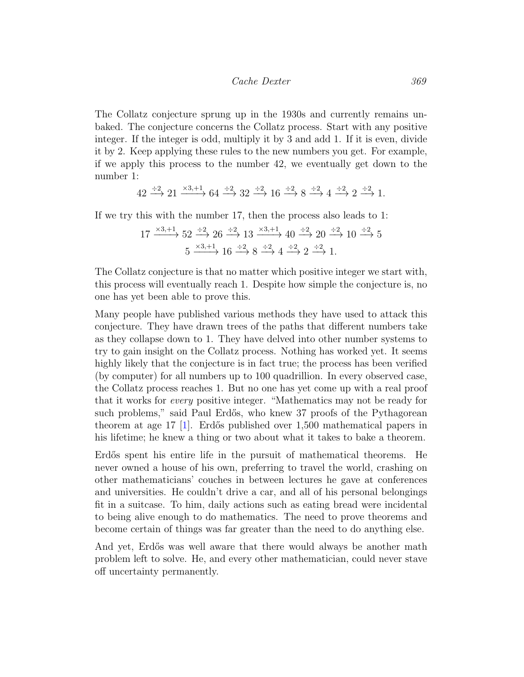The Collatz conjecture sprung up in the 1930s and currently remains unbaked. The conjecture concerns the Collatz process. Start with any positive integer. If the integer is odd, multiply it by 3 and add 1. If it is even, divide it by 2. Keep applying these rules to the new numbers you get. For example, if we apply this process to the number 42, we eventually get down to the number 1:

$$
42\xrightarrow{\div 2} 21\xrightarrow{\times 3,+1} 64\xrightarrow{\div 2} 32\xrightarrow{\div 2} 16\xrightarrow{\div 2} 8\xrightarrow{\div 2} 4\xrightarrow{\div 2} 2\xrightarrow{\div 2} 1.
$$

If we try this with the number 17, then the process also leads to 1:

$$
17 \xrightarrow{\times 3, +1} 52 \xrightarrow{\div 2} 26 \xrightarrow{\div 2} 13 \xrightarrow{\times 3, +1} 40 \xrightarrow{\div 2} 20 \xrightarrow{\div 2} 10 \xrightarrow{\div 2} 5
$$

$$
5 \xrightarrow{\times 3, +1} 16 \xrightarrow{\div 2} 8 \xrightarrow{\div 2} 4 \xrightarrow{\div 2} 2 \xrightarrow{\div 2} 1.
$$

The Collatz conjecture is that no matter which positive integer we start with, this process will eventually reach 1. Despite how simple the conjecture is, no one has yet been able to prove this.

Many people have published various methods they have used to attack this conjecture. They have drawn trees of the paths that different numbers take as they collapse down to 1. They have delved into other number systems to try to gain insight on the Collatz process. Nothing has worked yet. It seems highly likely that the conjecture is in fact true; the process has been verified (by computer) for all numbers up to 100 quadrillion. In every observed case, the Collatz process reaches 1. But no one has yet come up with a real proof that it works for every positive integer. "Mathematics may not be ready for such problems," said Paul Erdős, who knew 37 proofs of the Pythagorean theorem at age 17  $\vert 1 \vert$ . Erdős published over 1,500 mathematical papers in his lifetime; he knew a thing or two about what it takes to bake a theorem.

Erdős spent his entire life in the pursuit of mathematical theorems. He never owned a house of his own, preferring to travel the world, crashing on other mathematicians' couches in between lectures he gave at conferences and universities. He couldn't drive a car, and all of his personal belongings fit in a suitcase. To him, daily actions such as eating bread were incidental to being alive enough to do mathematics. The need to prove theorems and become certain of things was far greater than the need to do anything else.

And yet, Erdős was well aware that there would always be another math problem left to solve. He, and every other mathematician, could never stave off uncertainty permanently.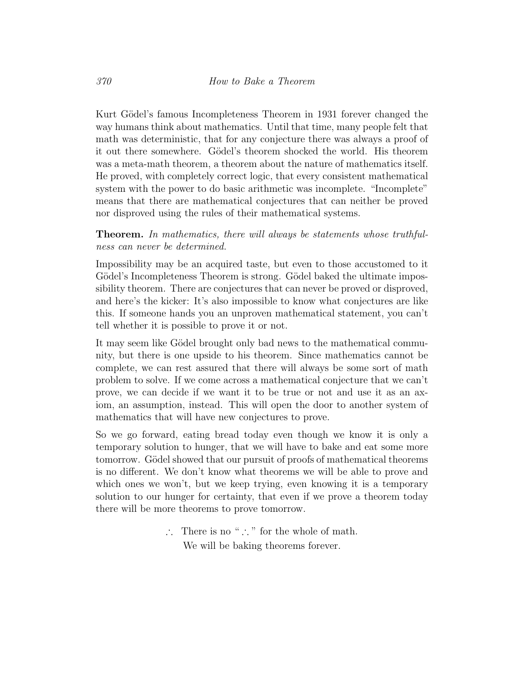Kurt Gödel's famous Incompleteness Theorem in 1931 forever changed the way humans think about mathematics. Until that time, many people felt that math was deterministic, that for any conjecture there was always a proof of it out there somewhere. Gödel's theorem shocked the world. His theorem was a meta-math theorem, a theorem about the nature of mathematics itself. He proved, with completely correct logic, that every consistent mathematical system with the power to do basic arithmetic was incomplete. "Incomplete" means that there are mathematical conjectures that can neither be proved nor disproved using the rules of their mathematical systems.

Theorem. In mathematics, there will always be statements whose truthfulness can never be determined.

Impossibility may be an acquired taste, but even to those accustomed to it Gödel's Incompleteness Theorem is strong. Gödel baked the ultimate impossibility theorem. There are conjectures that can never be proved or disproved, and here's the kicker: It's also impossible to know what conjectures are like this. If someone hands you an unproven mathematical statement, you can't tell whether it is possible to prove it or not.

It may seem like Gödel brought only bad news to the mathematical community, but there is one upside to his theorem. Since mathematics cannot be complete, we can rest assured that there will always be some sort of math problem to solve. If we come across a mathematical conjecture that we can't prove, we can decide if we want it to be true or not and use it as an axiom, an assumption, instead. This will open the door to another system of mathematics that will have new conjectures to prove.

So we go forward, eating bread today even though we know it is only a temporary solution to hunger, that we will have to bake and eat some more tomorrow. Gödel showed that our pursuit of proofs of mathematical theorems is no different. We don't know what theorems we will be able to prove and which ones we won't, but we keep trying, even knowing it is a temporary solution to our hunger for certainty, that even if we prove a theorem today there will be more theorems to prove tomorrow.

> ∴ There is no " ∴ " for the whole of math. We will be baking theorems forever.